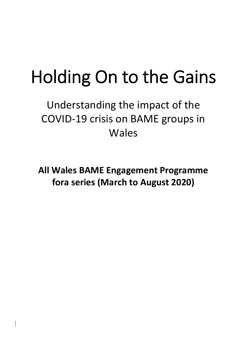# Holding On to the Gains

Understanding the impact of the COVID-19 crisis on BAME groups in Wales

**All Wales BAME Engagement Programme fora series (March to August 2020)**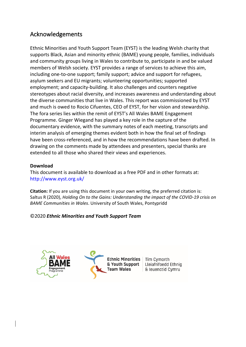#### Acknowledgements

Ethnic Minorities and Youth Support Team (EYST) is the leading Welsh charity that supports Black, Asian and minority ethnic (BAME) young people, families, individuals and community groups living in Wales to contribute to, participate in and be valued members of Welsh society. EYST provides a range of services to achieve this aim, including one-to-one support; family support; advice and support for refugees, asylum seekers and EU migrants; volunteering opportunities; supported employment; and capacity-building. It also challenges and counters negative stereotypes about racial diversity, and increases awareness and understanding about the diverse communities that live in Wales. This report was commissioned by EYST and much is owed to Rocio Cifuentes, CEO of EYST, for her vision and stewardship. The fora series lies within the remit of EYST's All Wales BAME Engagement Programme. Ginger Wiegand has played a key role in the capture of the documentary evidence, with the summary notes of each meeting, transcripts and interim analysis of emerging themes evident both in how the final set of findings have been cross-referenced, and in how the recommendations have been drafted. In drawing on the comments made by attendees and presenters, special thanks are extended to all those who shared their views and experiences.

#### **Download**

This document is available to download as a free PDF and in other formats at: http://www.eyst.org.uk/

**Citation:** If you are using this document in your own writing, the preferred citation is: Saltus R (2020), *Holding On to the Gains: Understanding the impact of the COVID-19 crisis on BAME Communities in Wales*. University of South Wales, Pontypridd

#### ©2020 *Ethnic Minorities and Youth Support Team*





Tîm Cymorth Lleiafrifoedd Ethnig & leuenctid Cymru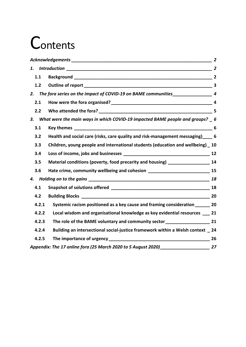## **Contents**

| 1.1   |                                                                                     |    |
|-------|-------------------------------------------------------------------------------------|----|
| 1.2   |                                                                                     |    |
| 2.    | The fora series on the impact of COVID-19 on BAME communities____________________ 4 |    |
| 2.1   |                                                                                     |    |
| 2.2   |                                                                                     |    |
| 3.    | What were the main ways in which COVID-19 impacted BAME people and groups? 6        |    |
| 3.1   |                                                                                     |    |
| 3.2   | Health and social care (risks, care quality and risk-management messaging) 6        |    |
| 3.3   | Children, young people and international students (education and wellbeing) 10      |    |
| 3.4   |                                                                                     |    |
| 3.5   | Material conditions (poverty, food precarity and housing) ______________________ 14 |    |
| 3.6   | Hate crime, community wellbeing and cohesion ___________________________________ 15 |    |
|       |                                                                                     |    |
| 4.1   |                                                                                     |    |
| 4.2   |                                                                                     |    |
| 4.2.1 | Systemic racism positioned as a key cause and framing consideration _______ 20      |    |
| 4.2.2 | Local wisdom and organisational knowledge as key evidential resources __ 21         |    |
| 4.2.3 |                                                                                     |    |
| 4.2.4 | Building an intersectional social-justice framework within a Welsh context _ 24     |    |
| 4.2.5 |                                                                                     |    |
|       | Appendix: The 17 online fora (25 March 2020 to 5 August 2020) ___________________   | 27 |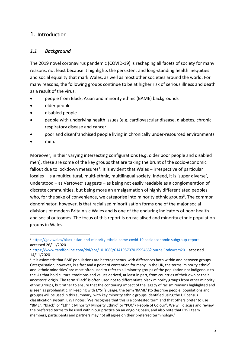#### 1. Introduction

#### *1.1 Background*

The 2019 novel coronavirus pandemic (COVID-19) is reshaping all facets of society for many reasons, not least because it highlights the persistent and long-standing health inequities and social equality that mark Wales, as well as most other societies around the world. For many reasons, the following groups continue to be at higher risk of serious illness and death as a result of the virus:

- people from Black, Asian and minority ethnic (BAME) backgrounds
- older people
- disabled people
- people with underlying health issues (e.g. cardiovascular disease, diabetes, chronic respiratory disease and cancer)
- poor and disenfranchised people living in chronically under-resourced environments
- men.

Moreover, in their varying intersecting configurations (e.g. older poor people and disabled men), these are some of the key groups that are taking the brunt of the socio-economic fallout due to lockdown measures<sup>1</sup>. It is evident that Wales – irrespective of particular locales – is a multicultural, multi-ethnic, multilingual society. Indeed, it is 'super diverse', understood – as Vertovec<sup>2</sup> suggests – as being not easily readable as a conglomeration of discrete communities, but being more an amalgamation of highly differentiated peoples who, for the sake of convenience, we categorise into minority ethnic groups<sup>3</sup>. The common denominator, however, is that racialised minoritisation forms one of the major social divisions of modern Britain sic Wales and is one of the enduring indicators of poor health and social outcomes. The focus of this report is on racialised and minority ethnic population groups in Wales.

<sup>1</sup> https://gov.wales/black-asian-and-minority-ethnic-bame-covid-19-socioeconomic-subgroup-report accessed 26/11/2020

<sup>2</sup> https://www.tandfonline.com/doi/abs/10.1080/01419870701599465?journalCode=rers20 – accessed 14/11/2020

 $3$  It is axiomatic that BME populations are heterogeneous, with differences both within and between groups. Categorisation, however, is a fact and a point of contention for many. In the UK, the terms 'minority ethnic' and 'ethnic minorities' are most often used to refer to all minority groups of the population not indigenous to the UK that hold cultural traditions and values derived, at least in part, from countries of their own or their ancestors' origin. The term 'Black' is often used not to differentiate black minority groups from other minority ethnic groups, but rather to ensure that the continuing impact of the legacy of racism remains highlighted and is seen as problematic. In keeping with EYST's usage, the term 'BAME' (to describe people, populations and groups) will be used in this summary, with key minority ethnic groups identified using the UK census classification system. EYST notes: 'We recognise that this is a contested term and that others prefer to use "BME", "Black" or "Ethnic Minority/ Minority Ethnic" or "POC"/ People of Colour". We will discuss and review the preferred terms to be used within our practice on an ongoing basis, and also note that EYST team members, participants and partners may not all agree on their preferred terminology.'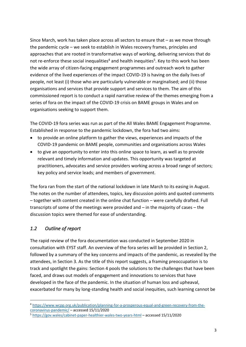Since March, work has taken place across all sectors to ensure that – as we move through the pandemic cycle – we seek to establish in Wales recovery frames, principles and approaches that are rooted in transformative ways of working, delivering services that do not re-enforce these social inequalities<sup>4</sup> and health inequities<sup>5</sup>. Key to this work has been the wide array of citizen-facing engagement programmes and outreach work to gather evidence of the lived experiences of the impact COVID-19 is having on the daily lives of people, not least (i) those who are particularly vulnerable or marginalised; and (ii) those organisations and services that provide support and services to them. The aim of this commissioned report is to conduct a rapid narrative review of the themes emerging from a series of fora on the impact of the COVID-19 crisis on BAME groups in Wales and on organisations seeking to support them.

The COVID-19 fora series was run as part of the All Wales BAME Engagement Programme. Established in response to the pandemic lockdown, the fora had two aims:

- to provide an online platform to gather the views, experiences and impacts of the COVID-19 pandemic on BAME people, communities and organisations across Wales
- to give an opportunity to enter into this online space to learn, as well as to provide relevant and timely information and updates. This opportunity was targeted at practitioners, advocates and service providers working across a broad range of sectors; key policy and service leads; and members of government.

The fora ran from the start of the national lockdown in late March to its easing in August. The notes on the number of attendees, topics, key discussion points and quoted comments – together with content created in the online chat function – were carefully drafted. Full transcripts of some of the meetings were provided and – in the majority of cases – the discussion topics were themed for ease of understanding.

#### *1.2 Outline of report*

The rapid review of the fora documentation was conducted in September 2020 in consultation with EYST staff. An overview of the fora series will be provided in Section 2, followed by a summary of the key concerns and impacts of the pandemic, as revealed by the attendees, in Section 3. As the title of this report suggests, a framing preoccupation is to track and spotlight the gains: Section 4 pools the solutions to the challenges that have been faced, and draws out models of engagement and innovations to services that have developed in the face of the pandemic. In the situation of human loss and upheaval, exacerbated for many by long-standing health and social inequities, such learning cannot be

<sup>4</sup> https://www.wcpp.org.uk/publication/planning-for-a-prosperous-equal-and-green-recovery-from-thecoronavirus-pandemic/ – accessed 15/11/2020

<sup>5</sup> https://gov.wales/cabinet-paper-healthier-wales-two-years-html – accessed 15/11/2020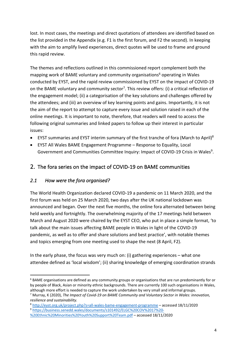lost. In most cases, the meetings and direct quotations of attendees are identified based on the list provided in the Appendix (e.g. F1 is the first forum, and F2 the second). In keeping with the aim to amplify lived experiences, direct quotes will be used to frame and ground this rapid review.

The themes and reflections outlined in this commissioned report complement both the mapping work of BAME voluntary and community organisations<sup>6</sup> operating in Wales conducted by EYST, and the rapid review commissioned by EYST on the impact of COVID-19 on the BAME voluntary and community sector<sup>7</sup>. This review offers: (i) a critical reflection of the engagement model; (ii) a categorisation of the key solutions and challenges offered by the attendees; and (iii) an overview of key learning points and gains. Importantly, it is not the aim of the report to attempt to capture every issue and solution raised in each of the online meetings. It is important to note, therefore, that readers will need to access the following original summaries and linked papers to follow up their interest in particular issues:

- EYST summaries and EYST interim summary of the first tranche of fora (March to April)<sup>8</sup>
- EYST All Wales BAME Engagement Programme Response to Equality, Local Government and Communities Committee Inquiry: Impact of COVID-19 Crisis in Wales<sup>9</sup>.

#### 2. The fora series on the impact of COVID-19 on BAME communities

#### *2.1 How were the fora organised?*

The World Health Organization declared COVID-19 a pandemic on 11 March 2020, and the first forum was held on 25 March 2020, two days after the UK national lockdown was announced and began. Over the next five months, the online fora alternated between being held weekly and fortnightly. The overwhelming majority of the 17 meetings held between March and August 2020 were chaired by the EYST CEO, who put in place a simple format, 'to talk about the main issues affecting BAME people in Wales in light of the COVID-19 pandemic, as well as to offer and share solutions and best practice', with notable themes and topics emerging from one meeting used to shape the next (8 April, F2).

In the early phase, the focus was very much on: (i) gathering experiences – what one attendee defined as 'local wisdom'; (ii) sharing knowledge of emerging coordination strands

 $6$  BAME organisations are defined as any community groups or organisations that are run predominantly for or by people of Black, Asian or minority ethnic backgrounds. There are currently 100 such organisations in Wales, although more effort is needed to capture the work undertaken by very small and informal groups.

<sup>7</sup> Murray, K (2020), *The Impact of Covid-19 on BAME Community and Voluntary Sector in Wales: innovation, resilience and sustainability.*

<sup>8</sup> http://eyst.org.uk/project.php?s=all-wales-bame-engagement-programme – accessed 18/11/2020

<sup>9</sup> https://business.senedd.wales/documents/s101492/ELGC%20COV%2017%20-

<sup>%20</sup>Ethnic%20Minorities%20Youth%20Support%20Team.pdf – accessed 18/11/2020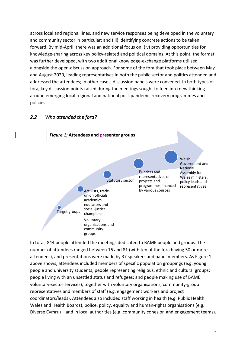across local and regional lines, and new service responses being developed in the voluntary and community sector in particular; and (iii) identifying concrete actions to be taken forward. By mid-April, there was an additional focus on: (iv) providing opportunities for knowledge-sharing across key policy-related and political domains. At this point, the format was further developed, with two additional knowledge-exchange platforms utilised alongside the open-discussion approach. For some of the fora that took place between May and August 2020, leading representatives in both the public sector and politics attended and addressed the attendees; in other cases, discussion panels were convened. In both types of fora, key discussion points raised during the meetings sought to feed into new thinking around emerging local regional and national post-pandemic recovery programmes and policies.



#### *2.2 Who attended the fora?*

In total, 844 people attended the meetings dedicated to BAME people and groups. The number of attendees ranged between 16 and 81 (with ten of the fora having 50 or more attendees), and presentations were made by 37 speakers and panel members. As Figure 1 above shows, attendees included members of specific population groupings (e.g. young people and university students; people representing religious, ethnic and cultural groups; people living with an unsettled status and refugees; and people making use of BAME voluntary-sector services), together with voluntary organisations, community-group representatives and members of staff (e.g. engagement workers and project coordinators/leads). Attendees also included staff working in health (e.g. Public Health Wales and Health Boards), police, policy, equality and human-rights organisations (e.g. Diverse Cymru) – and in local authorities (e.g. community cohesion and engagement teams).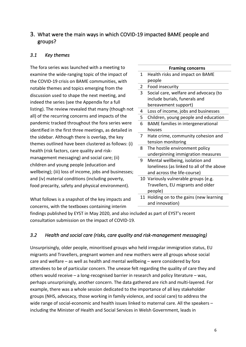#### 3. What were the main ways in which COVID-19 impacted BAME people and groups?

#### *3.1 Key themes*

The fora series was launched with a meeting to examine the wide-ranging topic of the impact of the COVID-19 crisis on BAME communities, with notable themes and topics emerging from the discussion used to shape the next meeting, and indeed the series (see the Appendix for a full listing). The review revealed that many (though not all) of the recurring concerns and impacts of the pandemic tracked throughout the fora series were identified in the first three meetings, as detailed in the sidebar. Although there is overlap, the key themes outlined have been clustered as follows: (i) health (risk factors, care quality and riskmanagement messaging) and social care; (ii) children and young people (education and wellbeing); (iii) loss of income, jobs and businesses; and (iv) material conditions (including poverty, food precarity, safety and physical environment).

What follows is a snapshot of the key impacts and concerns, with the textboxes containing interim

#### **Framing concerns**

- 1 Health risks and impact on BAME people
- 2 Food insecurity
- 3 Social care, welfare and advocacy (to include burials, funerals and bereavement support)
- 4 Loss of income, jobs and businesses
- 5 Children, young people and education
- 6 BAME families in intergenerational houses
- 7 Hate crime, community cohesion and tension monitoring
- 8 The hostile environment policy underpinning immigration measures
- 9 Mental wellbeing, isolation and loneliness (as linked to all of the above and across the life-course)
- 10 Variously vulnerable groups (e.g. Travellers, EU migrants and older people)
- 11 Holding on to the gains (new learning and innovation)

findings published by EYST in May 2020, and also included as part of EYST's recent consultation submission on the impact of COVID-19.

#### *3.2 Health and social care (risks, care quality and risk-management messaging)*

Unsurprisingly, older people, minoritised groups who held irregular immigration status, EU migrants and Travellers, pregnant women and new mothers were all groups whose social care and welfare – as well as health and mental wellbeing – were considered by fora attendees to be of particular concern. The unease felt regarding the quality of care they and others would receive – a long-recognised barrier in research and policy literature – was, perhaps unsurprisingly, another concern. The data gathered are rich and multi-layered. For example, there was a whole session dedicated to the importance of all key stakeholder groups (NHS, advocacy, those working in family violence, and social care) to address the wide range of social-economic and health issues linked to maternal care. All the speakers – including the Minister of Health and Social Services in Welsh Government, leads in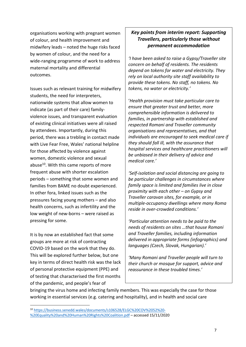organisations working with pregnant women of colour, and health improvement and midwifery leads – noted the huge risks faced by women of colour, and the need for a wide-ranging programme of work to address maternal mortality and differential outcomes.

Issues such as relevant training for midwifery students, the need for interpreters, nationwide systems that allow women to indicate (as part of their care) familyviolence issues, and transparent evaluation of existing clinical initiatives were all raised by attendees. Importantly, during this period, there was a trebling in contact made with Live Fear Free, Wales' national helpline for those affected by violence against women, domestic violence and sexual abuse<sup>10</sup>. With this came reports of more frequent abuse with shorter escalation periods – something that some women and families from BAME no doubt experienced. In other fora, linked issues such as the pressures facing young mothers – and also health concerns, such as infertility and the low weight of new-borns – were raised as pressing for some.

It is by now an established fact that some groups are more at risk of contracting COVID-19 based on the work that they do. This will be explored further below, but one key in terms of direct health risk was the lack of personal protective equipment (PPE) and of testing that characterised the first months of the pandemic, and people's fear of

#### *Key points from interim report: Supporting Travellers, particularly those without permanent accommodation*

*'I have been asked to raise a Gypsy/Traveller site concern on behalf of residents. The residents depend on tokens for water and electricity. They rely on local authority site staff availability to provide these tokens. No staff, no tokens. No tokens, no water or electricity.'*

'*Health provision must take particular care to ensure that greater trust and better, more comprehensible information is delivered to families, in partnership with established and respected Romani and Traveller community organisations and representatives, and that individuals are encouraged to seek medical care if they should fall ill, with the assurance that hospital services and healthcare practitioners will be unbiased in their delivery of advice and medical care.'*

*'Self-isolation and social distancing are going to be particular challenges in circumstances where family space is limited and families live in close proximity with each other – on Gypsy and Traveller caravan sites, for example, or in multiple-occupancy dwellings where many Roma reside in over-crowded conditions.'*

*'Particular attention needs to be paid to the needs of residents on sites …that house Romani and Traveller families, including information delivered in appropriate forms (infographics) and languages (Czech, Slovak, Hungarian).'*

*'Many Romani and Traveller people will turn to their church or mosque for support, advice and reassurance in these troubled times.'*

bringing the virus home and infecting family members. This was especially the case for those working in essential services (e.g. catering and hospitality), and in health and social care

<sup>10</sup> https://business.senedd.wales/documents/s106528/ELGC%20COV%2052%20- %20Equality%20and%20Human%20Rights%20Coalition.pdf – accessed 15/11/2020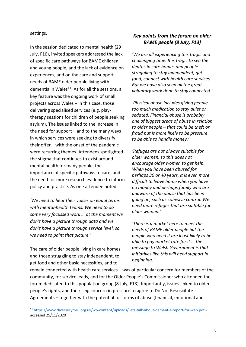settings.

In the session dedicated to mental health (29 July, F16), invited speakers addressed the lack of specific care pathways for BAME children and young people, and the lack of evidence on experiences, and on the care and support needs of BAME older people living with dementia in Wales $^{11}$ . As for all the sessions, a key feature was the ongoing work of small projects across Wales – in this case, those delivering specialised services (e.g. playtherapy sessions for children of people seeking asylum). The issues linked to the increase in the need for support  $-$  and to the many ways in which services were seeking to diversify their offer – with the onset of the pandemic were recurring themes. Attendees spotlighted the stigma that continues to exist around mental health for many people, the importance of specific pathways to care, and the need for more research evidence to inform policy and practice. As one attendee noted:

*'We need to hear their voices on equal terms with mental-health teams. We need to do some very focussed work … at the moment we don't have a picture through data and we don't have a picture through service level, so we need to paint that picture.'*

The care of older people living in care homes – and those struggling to stay independent, to get food and other basic necessities, and to

#### *Key points from the forum on older BAME people (8 July, F13)*

*'We are all experiencing this tragic and challenging time. It is tragic to see the deaths in care homes and people struggling to stay independent, get food, connect with health care services. But we have also seen all the great voluntary work done to stay connected.'*

*'Physical abuse includes giving people too much medication to stay quiet or sedated. Financial abuse is probably one of biggest areas of abuse in relation to older people – that could be theft or fraud but is more likely to be pressure to be able to handle money.'*

*'Refuges are not always suitable for older women, so this does not encourage older women to get help. When you have been abused for perhaps 30 or 40 years, it is even more difficult to leave home when you have no money and perhaps family who are unaware of the abuse that has been going on, such as cohesive control. We need more refuges that are suitable for older women.'*

*'There is a market here to meet the needs of BAME older people but the people who need it are least likely to be able to pay market rate for it … the message to Welsh Government is that initiatives like this will need support in beginning.'*

remain connected with health care services – was of particular concern for members of the community, for service leads, and for the Older People's Commissioner who attended the forum dedicated to this population group (8 July, F13). Importantly, issues linked to older people's rights, and the rising concern in pressure to agree to Do Not Resuscitate Agreements – together with the potential for forms of abuse (financial, emotional and

<sup>11</sup> https://www.diversecymru.org.uk/wp-content/uploads/Lets-talk-about-dementia-report-for-web.pdf accessed 25/11/2020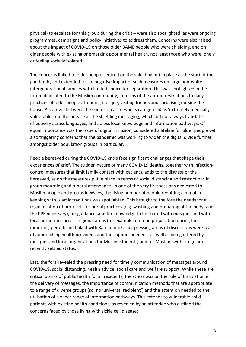physical) to escalate for this group during the crisis – were also spotlighted, as were ongoing programmes, campaigns and policy initiatives to address them. Concerns were also raised about the impact of COVID-19 on those older BAME people who were shielding, and on older people with existing or emerging poor mental health, not least those who were lonely or feeling socially isolated.

The concerns linked to older people centred on the shielding put in place at the start of the pandemic, and extended to the negative impact of such measures on large non-white intergenerational families with limited choice for separation. This was spotlighted in the forum dedicated to the Muslim community, in terms of the abrupt restrictions to daily practices of older people attending mosque, visiting friends and socialising outside the house. Also revealed were the confusion as to who is categorised as 'extremely medically vulnerable' and the unease at the shielding messaging, which did not always translate effectively across languages, and across local knowledge and information pathways. Of equal importance was the issue of digital inclusion, considered a lifeline for older people yet also triggering concerns that the pandemic was working to widen the digital divide further amongst older population groups in particular.

People bereaved during the COVID-19 crisis face significant challenges that shape their experiences of grief. The sudden nature of many COVID-19 deaths, together with infectioncontrol measures that limit family contact with patients, adds to the distress of the bereaved, as do the measures put in place in terms of social distancing and restrictions in group mourning and funeral attendance. In one of the very first sessions dedicated to Muslim people and groups in Wales, the rising number of people requiring a burial in keeping with Islamic traditions was spotlighted. This brought to the fore the needs for a regularisation of protocols for burial practices (e.g. washing and preparing of the body, and the PPE necessary), for guidance, and for knowledge to be shared with mosques and with local authorities across regional areas (for example, on food preparation during the mourning period, and linked with Ramadan). Other pressing areas of discussions were fears of approaching health providers, and the support needed – as well as being offered by – mosques and local organisations for Muslim students, and for Muslims with irregular or recently settled status.

Last, the fora revealed the pressing need for timely communication of messages around COVID-19, social distancing, health advice, social care and welfare support. While these are critical planks of public health for all residents, the stress was on the role of translation in the delivery of messages, the importance of communication methods that are appropriate to a range of diverse groups (so, no 'universal recipient') and the attention needed to the utilisation of a wider range of information pathways. This extends to vulnerable child patients with existing health conditions, as revealed by an attendee who outlined the concerns faced by those living with sickle cell disease: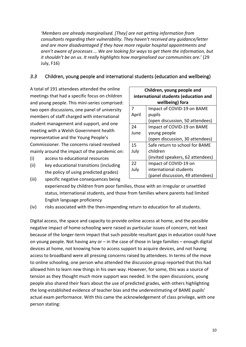*'Members are already marginalised. [They] are not getting information from consultants regarding their vulnerability. They haven't received any guidance/letter and are more disadvantaged if they have more regular hospital appointments and aren't aware of processes … We are looking for ways to get them the information, but it shouldn't be on us. It really highlights how marginalised our communities are*.' (29 July, F16)

#### *3.3* Children, young people and international students (education and wellbeing)

A total of 191 attendees attended the online meetings that had a specific focus on children and young people. This mini-series comprised: two open discussions, one panel of university members of staff charged with international student management and support, and one meeting with a Welsh Government health representative and the Young People's Commissioner. The concerns raised revolved mainly around the impact of the pandemic on:

- (i) access to educational resources
- (ii) key educational transitions (including the policy of using predicted grades)

| Children, young people and            |                                  |  |  |  |
|---------------------------------------|----------------------------------|--|--|--|
| international students (education and |                                  |  |  |  |
| wellbeing) fora                       |                                  |  |  |  |
| 7                                     | Impact of COVID-19 on BAME       |  |  |  |
| April                                 | pupils                           |  |  |  |
|                                       | (open discussion, 50 attendees)  |  |  |  |
| 24                                    | Impact of COVID-19 on BAME       |  |  |  |
| June                                  | young people                     |  |  |  |
|                                       | (open discussion, 30 attendees)  |  |  |  |
| 15                                    | Safe return to school for BAME   |  |  |  |
| July                                  | children                         |  |  |  |
|                                       | (invited speakers, 62 attendees) |  |  |  |
| 22                                    | Impact of COVID-19 on            |  |  |  |
| July                                  | international students           |  |  |  |
| (panel discussion, 49 attendees)      |                                  |  |  |  |

- (iii) specific negative consequences being experienced by children from poor families, those with an irregular or unsettled status, international students, and those from families where parents had limited English language proficiency
- (iv) risks associated with the then-impending return to education for all students.

Digital access, the space and capacity to provide online access at home, and the possible negative impact of home-schooling were raised as particular issues of concern, not least because of the longer-term impact that such possible resultant gaps in education could have on young people. Not having any or – in the case of those in large families – enough digital devices at home, not knowing how to access support to acquire devices, and not having access to broadband were all pressing concerns raised by attendees. In terms of the move to online schooling, one person who attended the discussion group reported that this had allowed him to learn new things in his own way. However, for some, this was a source of tension as they thought much more support was needed. In the open discussions, young people also shared their fears about the use of predicted grades, with others highlighting the long-established evidence of teacher bias and the underestimating of BAME pupils' actual exam performance. With this came the acknowledgement of class privilege, with one person stating: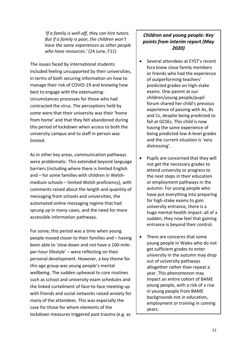*'If a family is well-off, they can hire tutors. But if a family is poor, the children won't have the same experiences as other people who have resources.'* (24 June, F11)

The issues faced by international students included feeling unsupported by their universities, in terms of both securing information on how to manage their risk of COVID-19 and knowing how best to engage with the extenuatingcircumstances processes for those who had contracted the virus. The perceptions held by some were that their university was their 'home from home' and that they felt abandoned during this period of lockdown when access to both the university campus and to staff in person was limited.

As in other key areas, communication pathways were problematic. This extended beyond language barriers (including where there is limited English and – for some families with children in Welshmedium schools – limited Welsh proficiency), with comments raised about the length and quantity of messaging from schools and universities, the automated online messaging regime that had sprung up in many cases, and the need for more accessible information pathways.

For some, this period was a time when young people moved closer to their families and – having been able to 'slow down and not have a 100-mileper-hour lifestyle' – were reflecting on their personal development. However, a key theme for this age group was young people's mental wellbeing. The sudden upheaval to core routines such as school and university exam schedules and the linked curtailment of face-to-face meeting-up with friends and social networks raised anxiety for many of the attendees. This was especially the case for those for whom elements of the lockdown measures triggered past trauma (e.g. as

#### *Children and young people: Key points from interim report (May 2020)*

- Several attendees at EYST's recent fora knew close family members or friends who had the experience of outperforming teachers' predicted grades on high-stake exams. One parent at our children/young people/pupil forum shared her child's previous experience of passing with As, Bs and Cs, despite being predicted to fail at GCSEs. This child is now having the same experience of being predicted low A-level grades and the current situation is 'very distressing'.
- Pupils are concerned that they will not get the necessary grades to attend university or progress to the next steps in their education or employment pathways in the autumn. For young people who have put everything into preparing for high-stake exams to gain university entrance, there is a huge mental-health impact: all of a sudden, they now feel that gaining entrance is beyond their control.
- There are concerns that some young people in Wales who do not get sufficient grades to enter university in the autumn may drop out of university pathways altogether rather than repeat a year. This phenomenon may impact an entire cohort of BAME young people, with a risk of a rise in young people from BAME backgrounds not in education, employment or training in coming years.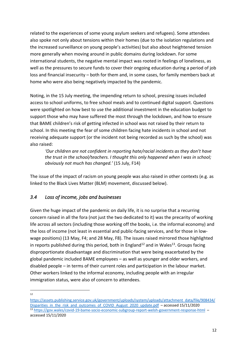related to the experiences of some young asylum seekers and refugees). Some attendees also spoke not only about tensions within their homes (due to the isolation regulations and the increased surveillance on young people's activities) but also about heightened tension more generally when moving around in public domains during lockdown. For some international students, the negative mental impact was rooted in feelings of loneliness, as well as the pressures to secure funds to cover their ongoing education during a period of job loss and financial insecurity – both for them and, in some cases, for family members back at home who were also being negatively impacted by the pandemic.

Noting, in the 15 July meeting, the impending return to school, pressing issues included access to school uniforms, to free school meals and to continued digital support. Questions were spotlighted on how best to use the additional investment in the education budget to support those who may have suffered the most through the lockdown, and how to ensure that BAME children's risk of getting infected in school was not raised by their return to school. In this meeting the fear of some children facing hate incidents in school and not receiving adequate support (or the incident not being recorded as such by the school) was also raised:

*'Our children are not confident in reporting hate/racial incidents as they don't have the trust in the school/teachers. I thought this only happened when I was in school; obviously not much has changed.'* (15 July, F14)

The issue of the impact of racism on young people was also raised in other contexts (e.g. as linked to the Black Lives Matter (BLM) movement, discussed below).

#### *3.4 Loss of income, jobs and businesses*

Given the huge impact of the pandemic on daily life, it is no surprise that a recurring concern raised in all the fora (not just the two dedicated to it) was the precarity of working life across all sectors (including those working off the books, i.e. the informal economy) and the loss of income (not least in essential and public-facing services, and for those in lowwage positions) (13 May, F4; and 28 May, F8). The issues raised mirrored those highlighted in reports published during this period, both in England<sup>12</sup> and in Wales<sup>13</sup>. Groups facing disproportionate disadvantage and discrimination that were being exacerbated by the global pandemic included BAME employees – as well as younger and older workers, and disabled people – in terms of their current roles and participation in the labour market. Other workers linked to the informal economy, including people with an irregular immigration status, were also of concern to attendees.

<sup>12</sup>

https://assets.publishing.service.gov.uk/government/uploads/system/uploads/attachment\_data/file/908434/ Disparities in the risk and outcomes of COVID August 2020 update.pdf – accessed 15/11/2020 <sup>13</sup> https://gov.wales/covid-19-bame-socio-economic-subgroup-report-welsh-government-response-html – accessed 15/11/2020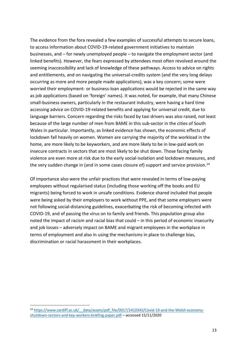The evidence from the fora revealed a few examples of successful attempts to secure loans, to access information about COVID-19-related government initiatives to maintain businesses, and – for newly unemployed people – to navigate the employment sector (and linked benefits). However, the fears expressed by attendees most often revolved around the seeming inaccessibility and lack of knowledge of these pathways. Access to advice on rights and entitlements, and on navigating the universal-credits system (and the very long delays occurring as more and more people made applications), was a key concern; some were worried their employment- or business-loan applications would be rejected in the same way as job applications (based on 'foreign' names). It was noted, for example, that many Chinese small-business owners, particularly in the restaurant industry, were having a hard time accessing advice on COVID-19-related benefits and applying for universal credit, due to language barriers. Concern regarding the risks faced by taxi drivers was also raised, not least because of the large number of men from BAME in this sub-sector in the cities of South Wales in particular. Importantly, as linked evidence has shown, the economic effects of lockdown fall heavily on women. Women are carrying the majority of the workload in the home, are more likely to be keyworkers, and are more likely to be in low-paid work on insecure contracts in sectors that are most likely to be shut down. Those facing family violence are even more at risk due to the early social-isolation and lockdown measures, and the very sudden change in (and in some cases closure of) support and service provision.14

Of importance also were the unfair practices that were revealed in terms of low-paying employees without regularised status (including those working off the books and EU migrants) being forced to work in unsafe conditions. Evidence shared included that people were being asked by their employers to work without PPE, and that some employers were not following social-distancing guidelines, exacerbating the risk of becoming infected with COVID-19, and of passing the virus on to family and friends. This population group also noted the impact of racism and racial bias that could – in this period of economic insecurity and job losses – adversely impact on BAME and migrant employees in the workplace in terms of employment and also in using the mechanisms in place to challenge bias, discrimination or racial harassment in their workplaces.

<sup>14</sup> https://www.cardiff.ac.uk/\_\_data/assets/pdf\_file/0017/2410343/Covid-19-and-the-Welsh-economyshutdown-sectors-and-key-workers-briefing-paper.pdf – accessed 15/11/2020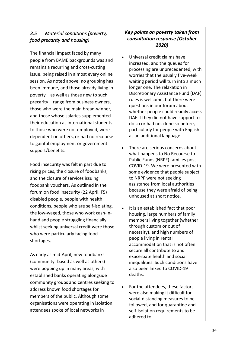#### *3.5 Material conditions (poverty, food precarity and housing)*

The financial impact faced by many people from BAME backgrounds was and remains a recurring and cross-cutting issue, being raised in almost every online session. As noted above, no grouping has been immune, and those already living in poverty – as well as those new to such precarity – range from business owners, those who were the main bread-winner, and those whose salaries supplemented their education as international students to those who were not employed, were dependent on others, or had no recourse to gainful employment or government support/benefits.

Food insecurity was felt in part due to rising prices, the closure of foodbanks, and the closure of services issuing foodbank vouchers. As outlined in the forum on food insecurity (22 April, F5) disabled people, people with health conditions, people who are self-isolating, the low-waged, those who work cash-inhand and people struggling financially whilst seeking universal credit were those who were particularly facing food shortages.

As early as mid-April, new foodbanks (community -based as well as others) were popping up in many areas, with established banks operating alongside community groups and centres seeking to address known food shortages for members of the public. Although some organisations were operating in isolation, attendees spoke of local networks in

#### *Key points on poverty taken from consultation response (October 2020)*

- Universal credit claims have increased, and the queues for processing are unprecedented, with worries that the usually five-week waiting period will turn into a much longer one. The relaxation in Discretionary Assistance Fund (DAF) rules is welcome, but there were questions in our forum about whether people could readily access DAF if they did not have support to do so or had not done so before, particularly for people with English as an additional language.
- There are serious concerns about what happens to No Recourse to Public Funds (NRPF) families post-COVID-19. We were presented with some evidence that people subject to NRPF were not seeking assistance from local authorities because they were afraid of being unhoused at short notice.
- It is an established fact that poor housing, large numbers of family members living together (whether through custom or out of necessity), and high numbers of people living in rental accommodation that is not often secure all contribute to and exacerbate health and social inequalities. Such conditions have also been linked to COVID-19 deaths.
- For the attendees, these factors were also making it difficult for social-distancing measures to be followed, and for quarantine and self-isolation requirements to be adhered to.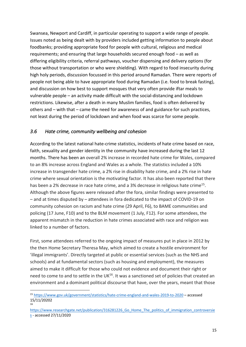Swansea, Newport and Cardiff, in particular operating to support a wide range of people. Issues noted as being dealt with by providers included getting information to people about foodbanks; providing appropriate food for people with cultural, religious and medical requirements; and ensuring that large households secured enough food – as well as differing eligibility criteria, referral pathways, voucher dispensing and delivery options (for those without transportation or who were shielding). With regard to food insecurity during high holy periods, discussion focussed in this period around Ramadan. There were reports of people not being able to have appropriate food during Ramadan (i.e. food to break fasting), and discussion on how best to support mosques that very often provide iftar meals to vulnerable people – an activity made difficult with the social-distancing and lockdown restrictions. Likewise, after a death in many Muslim families, food is often delivered by others and – with that – came the need for awareness of and guidance for such practices, not least during the period of lockdown and when food was scarce for some people.

#### *3.6 Hate crime, community wellbeing and cohesion*

According to the latest national hate-crime statistics, incidents of hate crime based on race, faith, sexuality and gender identity in the community have increased during the last 12 months. There has been an overall 2% increase in recorded hate crime for Wales, compared to an 8% increase across England and Wales as a whole. The statistics included a 10% increase in transgender hate crime, a 2% rise in disability hate crime, and a 2% rise in hate crime where sexual orientation is the motivating factor. It has also been reported that there has been a 2% decrease in race hate crime, and a 3% decrease in religious hate crime<sup>15</sup>. Although the above figures were released after the fora, similar findings were presented to – and at times disputed by – attendees in fora dedicated to the impact of COVID-19 on community cohesion on racism and hate crime (29 April, F6), to BAME communities and policing (17 June, F10) and to the BLM movement (1 July, F12). For some attendees, the apparent mismatch in the reduction in hate crimes associated with race and religion was linked to a number of factors.

First, some attendees referred to the ongoing impact of measures put in place in 2012 by the then Home Secretary Theresa May, which aimed to create a hostile environment for 'illegal immigrants'. Directly targeted at public or essential services (such as the NHS and schools) and at fundamental sectors (such as housing and employment), the measures aimed to make it difficult for those who could not evidence and document their right or need to come to and to settle in the UK $^{16}$ . It was a sanctioned set of policies that created an environment and a dominant political discourse that have, over the years, meant that those

<sup>15</sup> https://www.gov.uk/government/statistics/hate-crime-england-and-wales-2019-to-2020 – accessed 15/11/20202 16

https://www.researchgate.net/publication/316281226 Go\_Home\_The\_politics\_of\_immigration\_controversie s - accessed 27/11/2020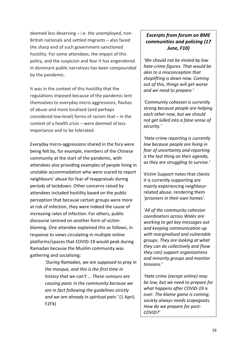deemed less deserving – i.e. the unemployed, non-British nationals and settled migrants – also faced the sharp end of such government-sanctioned hostility. For some attendees, the impact of this policy, and the suspicion and fear it has engendered in dominant public narratives has been compounded by the pandemic.

It was in the context of this hostility that the regulations imposed because of the pandemic lent themselves to everyday micro-aggressions, flashes of abuse and more localised (and perhaps considered low-level) forms of racism that – in the context of a health crisis – were deemed of less importance and to be tolerated.

Everyday micro-aggressions shared in the fora were being felt by, for example, members of the Chinese community at the start of the pandemic, with attendees also providing examples of people living in unstable accommodation who were scared to report neighbours' abuse for fear of reappraisals during periods of lockdown. Other concerns raised by attendees included hostility based on the public perception that because certain groups were more at risk of infection, they were indeed the cause of increasing rates of infection. For others, public discourse centred on another form of victimblaming. One attendee explained this as follows, in response to views circulating in multiple online platforms/spaces that COVID-19 would peak during Ramadan because the Muslim community was gathering and socialising:

> *'During Ramadan, we are supposed to pray in the mosque, and this is the first time in history that we can't ... These rumours are causing panic in the community because we are in fact following the guidelines strictly and we are already in spiritual pain.'* (1 April, F2FX)

#### *Excerpts from forum on BME communities and policing (17 June, F10)*

*'We should not be misled by low hate-crime figures. That would be akin to a misconception that shoplifting is down now. Coming out of this, things will get worse and we need to prepare.'*

*'Community cohesion is currently strong because people are helping each other now, but we should not get lulled into a false sense of security.'*

*'Hate-crime reporting is currently low because people are living in fear of uncertainty and reporting is the last thing on their agenda, as they are struggling to survive.'*

Victim Support notes that clients it is currently supporting are mainly experiencing neighbourrelated abuse, rendering them *'prisoners in their own homes'.*

'*All of the community cohesion coordinators across Wales are working to get key messages out and keeping communication up with marginalised and vulnerable groups. They are looking at what they can do collectively and [how they can] support organisations and minority groups and monitor tensions.*'

*'Hate crime (except online) may be low, but we need to prepare for what happens after COVID-19 is over. The blame game is coming; society always needs scapegoats. How do we prepare for post-COVID?'*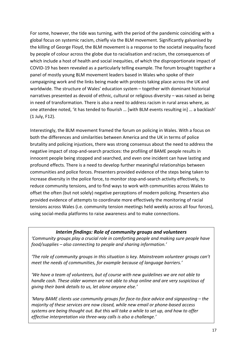For some, however, the tide was turning, with the period of the pandemic coinciding with a global focus on systemic racism, chiefly via the BLM movement. Significantly galvanised by the killing of George Floyd, the BLM movement is a response to the societal inequality faced by people of colour across the globe due to racialisation and racism, the consequences of which include a host of health and social inequities, of which the disproportionate impact of COVID-19 has been revealed as a particularly telling example. The forum brought together a panel of mostly young BLM movement leaders based in Wales who spoke of their campaigning work and the links being made with protests taking place across the UK and worldwide. The structure of Wales' education system – together with dominant historical narratives presented as devoid of ethnic, cultural or religious diversity – was raised as being in need of transformation. There is also a need to address racism in rural areas where, as one attendee noted, 'it has tended to flourish … [with BLM events resulting in] … a backlash' (1 July, F12).

Interestingly, the BLM movement framed the forum on policing in Wales. With a focus on both the differences and similarities between America and the UK in terms of police brutality and policing injustices, there was strong consensus about the need to address the negative impact of stop-and-search practices: the profiling of BAME people results in innocent people being stopped and searched, and even one incident can have lasting and profound effects. There is a need to develop further meaningful relationships between communities and police forces. Presenters provided evidence of the steps being taken to increase diversity in the police force, to monitor stop-and-search activity effectively, to reduce community tensions, and to find ways to work with communities across Wales to offset the often (but not solely) negative perceptions of modern policing. Presenters also provided evidence of attempts to coordinate more effectively the monitoring of racial tensions across Wales (i.e. community tension meetings held weekly across all four forces), using social-media platforms to raise awareness and to make connections.

#### *Interim findings: Role of community groups and volunteers*

*'Community groups play a crucial role in comforting people and making sure people have food/supplies – also connecting to people and sharing information.'*

*'The role of community groups in this situation is key. Mainstream volunteer groups can't meet the needs of communities, for example because of language barriers.'*

*'We have a team of volunteers, but of course with new guidelines we are not able to handle cash. These older women are not able to shop online and are very suspicious of giving their bank details to us, let alone anyone else.'*

*'Many BAME clients use community groups for face-to-face advice and signposting – the majority of these services are now closed, while new email or phone-based access systems are being thought out. But this will take a while to set up, and how to offer effective interpretation via three-way calls is also a challenge.'*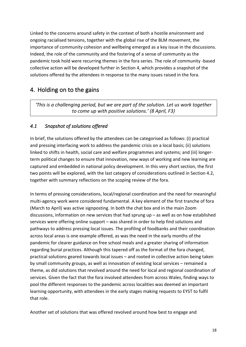Linked to the concerns around safety in the context of both a hostile environment and ongoing racialised tensions, together with the global rise of the BLM movement, the importance of community cohesion and wellbeing emerged as a key issue in the discussions. Indeed, the role of the community and the fostering of a sense of community as the pandemic took hold were recurring themes in the fora series. The role of community -based collective action will be developed further in Section 4, which provides a snapshot of the solutions offered by the attendees in response to the many issues raised in the fora.

#### 4. Holding on to the gains

*'This is a challenging period, but we are part of the solution. Let us work together to come up with positive solutions.' (8 April, F3)*

#### *4.1 Snapshot of solutions offered*

In brief, the solutions offered by the attendees can be categorised as follows: (i) practical and pressing interfacing work to address the pandemic crisis on a local basis; (ii) solutions linked to shifts in health, social care and welfare programmes and systems; and (iii) longerterm political changes to ensure that innovation, new ways of working and new learning are captured and embedded in national policy development. In this very short section, the first two points will be explored, with the last category of considerations outlined in Section 4.2, together with summary reflections on the scoping review of the fora.

In terms of pressing considerations, local/regional coordination and the need for meaningful multi-agency work were considered fundamental. A key element of the first tranche of fora (March to April) was active signposting. In both the chat box and in the main Zoom discussions, information on new services that had sprung up – as well as on how established services were offering online support – was shared in order to help find solutions and pathways to address pressing local issues. The profiling of foodbanks and their coordination across local areas is one example offered, as was the need in the early months of the pandemic for clearer guidance on free school meals and a greater sharing of information regarding burial practices. Although this tapered off as the format of the fora changed, practical solutions geared towards local issues – and rooted in collective action being taken by small community groups, as well as innovation of existing local services – remained a theme, as did solutions that revolved around the need for local and regional coordination of services. Given the fact that the fora involved attendees from across Wales, finding ways to pool the different responses to the pandemic across localities was deemed an important learning opportunity, with attendees in the early stages making requests to EYST to fulfil that role.

Another set of solutions that was offered revolved around how best to engage and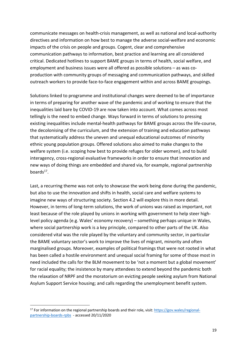communicate messages on health-crisis management, as well as national and local-authority directives and information on how best to manage the adverse social-welfare and economic impacts of the crisis on people and groups. Cogent, clear and comprehensive communication pathways to information, best practice and learning are all considered critical. Dedicated hotlines to support BAME groups in terms of health, social welfare, and employment and business issues were all offered as possible solutions – as was coproduction with community groups of messaging and communication pathways, and skilled outreach workers to provide face-to-face engagement within and across BAME groupings.

Solutions linked to programme and institutional changes were deemed to be of importance in terms of preparing for another wave of the pandemic and of working to ensure that the inequalities laid bare by COVID-19 are now taken into account. What comes across most tellingly is the need to embed change. Ways forward in terms of solutions to pressing existing inequalities include mental-health pathways for BAME groups across the life-course, the decolonising of the curriculum, and the extension of training and education pathways that systematically address the uneven and unequal educational outcomes of minority ethnic young population groups. Offered solutions also aimed to make changes to the welfare system (i.e. scoping how best to provide refuges for older women), and to build interagency, cross-regional evaluative frameworks in order to ensure that innovation and new ways of doing things are embedded and shared via, for example, regional partnership boards $17$ .

Last, a recurring theme was not only to showcase the work being done during the pandemic, but also to use the innovation and shifts in health, social care and welfare systems to imagine new ways of structuring society. Section 4.2 will explore this in more detail. However, in terms of long-term solutions, the work of unions was raised as important, not least because of the role played by unions in working with government to help steer highlevel policy agenda (e.g. Wales' economy recovery) – something perhaps unique in Wales, where social partnership work is a key principle, compared to other parts of the UK. Also considered vital was the role played by the voluntary and community sector, in particular the BAME voluntary sector's work to improve the lives of migrant, minority and often marginalised groups. Moreover, examples of political framings that were not rooted in what has been called a hostile environment and unequal social framing for some of those most in need included the calls for the BLM movement to be 'not a moment but a global movement' for racial equality; the insistence by many attendees to extend beyond the pandemic both the relaxation of NRPF and the moratorium on evicting people seeking asylum from National Asylum Support Service housing; and calls regarding the unemployment benefit system.

 $17$  For information on the regional partnership boards and their role, visit: https://gov.wales/regionalpartnership-boards-rpbs - accessed 20/11/2020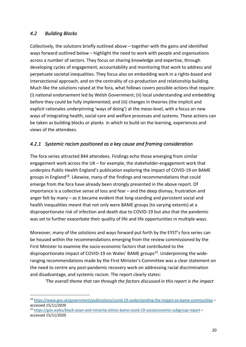#### *4.2 Building Blocks*

Collectively, the solutions briefly outlined above – together with the gains and identified ways forward outlined below – highlight the need to work with people and organisations across a number of sectors. They focus on sharing knowledge and expertise, through developing cycles of engagement, accountability and monitoring that work to address and perpetuate societal inequalities. They focus also on embedding work in a rights-based and intersectional approach, and on the centrality of co-production and relationship building. Much like the solutions raised at the fora, what follows covers possible actions that require: (i) national endorsement led by Welsh Government; (ii) local understanding and embedding before they could be fully implemented; and (iii) changes in theories (the implicit and explicit rationales underpinning 'ways of doing') at the meso-level, with a focus on new ways of integrating health, social care and welfare processes and systems. These actions can be taken as building blocks or planks in which to build on the learning, experiences and views of the attendees.

#### *4.2.1 Systemic racism positioned as a key cause and framing consideration*

The fora series attracted 844 attendees. Findings echo those emerging from similar engagement work across the UK – for example, the stakeholder-engagement work that underpins Public Health England's publication exploring the impact of COVID-19 on BAME groups in England<sup>18</sup>. Likewise, many of the findings and recommendations that could emerge from the fora have already been strongly presented in the above report. Of importance is a collective sense of loss and fear – and the deep dismay, frustration and anger felt by many – as it became evident that long-standing and persistent social and health inequalities meant that not only were BAME groups (to varying extents) at a disproportionate risk of infection and death due to COVID-19 but also that the pandemic was set to further exacerbate their quality of life and life opportunities in multiple ways.

Moreover, many of the solutions and ways forward put forth by the EYST's fora series can be housed within the recommendations emerging from the review commissioned by the First Minister to examine the socio-economic factors that contributed to the disproportionate impact of COVID-19 on Wales' BAME groups<sup>19</sup>. Underpinning the wideranging recommendations made by the First Minister's Committee was a clear statement on the need to centre any post-pandemic recovery work on addressing racial discrimination and disadvantage, and systemic racism. The report clearly states:

*'The overall theme that ran through the factors discussed in this report is the impact* 

<sup>18</sup> https://www.gov.uk/government/publications/covid-19-understanding-the-impact-on-bame-communities – accessed 15/11/2020

<sup>19</sup> https://gov.wales/black-asian-and-minority-ethnic-bame-covid-19-socioeconomic-subgroup-report – accessed 15/11/2020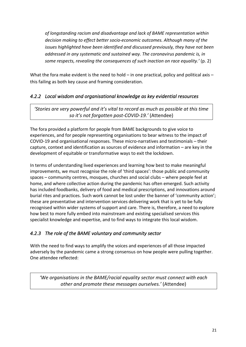*of longstanding racism and disadvantage and lack of BAME representation within decision making to effect better socio-economic outcomes. Although many of the issues highlighted have been identified and discussed previously, they have not been addressed in any systematic and sustained way. The coronavirus pandemic is, in some respects, revealing the consequences of such inaction on race equality.'* (p. 2)

What the fora make evident is the need to hold – in one practical, policy and political axis – this failing as both key cause and framing consideration.

#### *4.2.2 Local wisdom and organisational knowledge as key evidential resources*

*'Stories are very powerful and it's vital to record as much as possible at this time so it's not forgotten post-COVID-19.'* (Attendee)

The fora provided a platform for people from BAME backgrounds to give voice to experiences, and for people representing organisations to bear witness to the impact of COVID-19 and organisational responses. These micro-narratives and testimonials – their capture, context and identification as sources of evidence and information – are key in the development of equitable or transformative ways to exit the lockdown.

In terms of understanding lived experiences and learning how best to make meaningful improvements, we must recognise the role of 'third spaces': those public and community spaces – community centres, mosques, churches and social clubs – where people feel at home, and where collective action during the pandemic has often emerged. Such activity has included foodbanks, delivery of food and medical prescriptions, and innovations around burial rites and practices. Such work cannot be lost under the banner of 'community action'; these are preventative and intervention services delivering work that is yet to be fully recognised within wider systems of support and care. There is, therefore, a need to explore how best to more fully embed into mainstream and existing specialised services this specialist knowledge and expertise, and to find ways to integrate this local wisdom.

#### *4.2.3 The role of the BAME voluntary and community sector*

With the need to find ways to amplify the voices and experiences of all those impacted adversely by the pandemic came a strong consensus on how people were pulling together. One attendee reflected:

*'We organisations in the BAME/racial equality sector must connect with each other and promote these messages ourselves.'* (Attendee)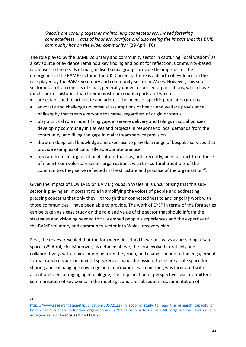*'People are coming together maintaining connectedness, indeed fostering connectedness … acts of kindness, sacrifice and also seeing the impact that the BME community has on the wider community.'* (29 April, F6)

**The** role played by the BAME voluntary and community sector in capturing 'local wisdom' as a key source of evidence remains a key finding and point for reflection. Community-based responses to the needs of marginalised social groups provide the impetus for the emergence of the BAME sector in the UK. Currently, there is a dearth of evidence on the role played by the BAME voluntary and community sector in Wales. However, this subsector most often consists of small, generally under-resourced organisations, which have much shorter histories than their mainstream counterparts and which:

- are established to articulate and address the needs of specific population groups
- advocate and challenge universalist assumptions of health and welfare provision: a philosophy that treats everyone the same, regardless of origin or status
- play a critical role in identifying gaps in service delivery and failings in social policies, developing community initiatives and projects in response to local demands from the community, and filling the gaps in mainstream service provision
- draw on deep local knowledge and expertise to provide a range of bespoke services that provide examples of culturally appropriate practice
- operate from an organisational culture that has, until recently, been distinct from those of mainstream voluntary-sector organisations, with the cultural traditions of the communities they serve reflected in the structure and practice of the organisation<sup>20</sup>.

Given the impact of COVID-19 on BAME groups in Wales, it is unsurprising that this subsector is playing an important role in amplifying the voices of people and addressing pressing concerns that only they – through their connectedness to and ongoing work with those communities – have been able to provide. The work of EYST in terms of the fora series can be taken as a case study on the role and value of the sector that should inform the strategies and visioning needed to fully embed people's experiences and the expertise of the BAME voluntary and community sector into Wales' recovery plan.

First, the review revealed that the fora were described in various ways as providing a 'safe space' (29 April, F6). Moreover, as detailed above, the fora evolved iteratively and collaboratively, with topics emerging from the group, and changes made to the engagement format (open discussion, invited speakers or panel discussion) to ensure a safe space for sharing and exchanging knowledge and information. Each meeting was facilitated with attention to encouraging open dialogue, the amplification of perspectives via intermittent summarisation of key points in the meetings, and the subsequent documentation of

 $20$ 

https://www.researchgate.net/publication/305721227\_A\_scoping\_study\_to\_map\_the\_research\_capacity\_of health\_social\_welfare\_voluntary\_organisations\_in\_Wales\_with\_a\_focus\_on\_BME\_organisations\_and\_equaliti es\_agencies\_2010 – accessed 23/11/2020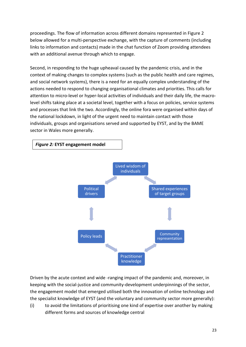proceedings. The flow of information across different domains represented in Figure 2 below allowed for a multi-perspective exchange, with the capture of comments (including links to information and contacts) made in the chat function of Zoom providing attendees with an additional avenue through which to engage.

Second, in responding to the huge upheaval caused by the pandemic crisis, and in the context of making changes to complex systems (such as the public health and care regimes, and social network systems), there is a need for an equally complex understanding of the actions needed to respond to changing organisational climates and priorities. This calls for attention to micro-level or hyper-local activities of individuals and their daily life, the macrolevel shifts taking place at a societal level, together with a focus on policies, service systems and processes that link the two. Accordingly, the online fora were organised within days of the national lockdown, in light of the urgent need to maintain contact with those individuals, groups and organisations served and supported by EYST, and by the BAME sector in Wales more generally.



Driven by the acute context and wide -ranging impact of the pandemic and, moreover, in keeping with the social-justice and community-development underpinnings of the sector, the engagement model that emerged utilised both the innovation of online technology and the specialist knowledge of EYST (and the voluntary and community sector more generally):

(i) to avoid the limitations of prioritising one kind of expertise over another by making different forms and sources of knowledge central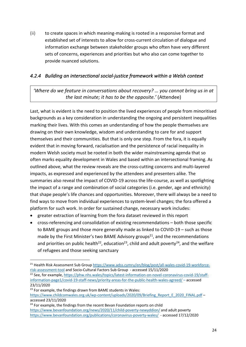(ii) to create spaces in which meaning-making is rooted in a responsive format and established set of interests to allow for cross-current circulation of dialogue and information exchange between stakeholder groups who often have very different sets of concerns, experiences and priorities but who also can come together to provide nuanced solutions.

#### *4.2.4 Building an intersectional social-justice framework within a Welsh context*

*'Where do we feature in conversations about recovery? … you cannot bring us in at the last minute; it has to be the opposite.'* (Attendee)

Last, what is evident is the need to position the lived experiences of people from minoritised backgrounds as a key consideration in understanding the ongoing and persistent inequalities marking their lives. With this comes an understanding of how the people themselves are drawing on their own knowledge, wisdom and understanding to care for and support themselves and their communities. But that is only one step. From the fora, it is equally evident that in moving forward, racialisation and the persistence of racial inequality in modern Welsh society must be rooted in both the wider mainstreaming agenda that so often marks equality development in Wales and based within an intersectional framing. As outlined above, what the review reveals are the cross-cutting concerns and multi-layered impacts, as expressed and experienced by the attendees and presenters alike. The summaries also reveal the impact of COVID-19 across the life-course, as well as spotlighting the impact of a range and combination of social categories (i.e. gender, age and ethnicity) that shape people's life chances and opportunities. Moreover, there will always be a need to find ways to move from individual experiences to system-level changes; the fora offered a platform for such work. In order for sustained change, necessary work includes:

- greater extraction of learning from the fora dataset reviewed in this report
- cross-referencing and consolidation of existing recommendations both those specific to BAME groups and those more generally made as linked to COVID-19 – such as those made by the First Minister's two BAME Advisory groups<sup>21</sup>, and the recommendations and priorities on public health<sup>22</sup>, education<sup>23</sup>, child and adult poverty<sup>24</sup>, and the welfare of refugees and those seeking sanctuary

<sup>&</sup>lt;sup>21</sup> Health Risk Assessment Sub Group https://www.adss.cymru/en/blog/post/all-wales-covid-19-workforcerisk-assessment-tool and Socio-Cultural Factors Sub Group - accessed 15/11/2020

<sup>&</sup>lt;sup>22</sup> See, for example, https://phw.nhs.wales/topics/latest-information-on-novel-coronavirus-covid-19/staffinformation-page1/covid-19-staff-news/priority-areas-for-the-public-health-wales-agreed/ – accessed 23/11/2020

<sup>&</sup>lt;sup>23</sup> For example, the findings drawn from BAME students in Wales: https://www.childcomwales.org.uk/wp-content/uploads/2020/09/Briefing\_Report\_E\_2020\_FINAL.pdf –

accessed 23/11/2020  $24$  For example, the findings from the recent Bevan Foundation reports on child https://www.bevanfoundation.org/news/2020/11/child-poverty-newyddion/ and adult poverty https://www.bevanfoundation.org/publications/coronavirus-poverty-wales/ - accessed 17/12/2020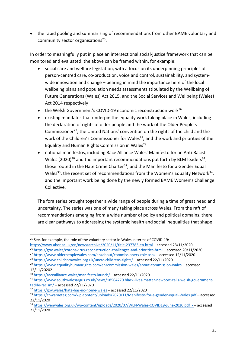• the rapid pooling and summarising of recommendations from other BAME voluntary and community sector organisations<sup>25</sup>.

In order to meaningfully put in place an intersectional social-justice framework that can be monitored and evaluated, the above can be framed within, for example:

- social care and welfare legislation, with a focus on its underpinning principles of person-centred care, co-production, voice and control, sustainability, and systemwide innovation and change – bearing in mind the importance here of the local wellbeing plans and population needs assessments stipulated by the Wellbeing of Future Generations (Wales) Act 2015, and the Social Services and Wellbeing (Wales) Act 2014 respectively
- the Welsh Government's COVID-19 economic reconstruction work<sup>26</sup>
- existing mandates that underpin the equality work taking place in Wales, including the declaration of rights of older people and the work of the Older People's Commissioner<sup>27</sup>; the United Nations' convention on the rights of the child and the work of the Children's Commissioner for Wales<sup>28</sup>; and the work and priorities of the Equality and Human Rights Commission in Wales<sup>29</sup>
- national manifestos, including Race Alliance Wales' Manifesto for an Anti-Racist Wales (2020)<sup>30</sup> and the important recommendations put forth by BLM leaders<sup>31</sup>; those rooted in the Hate Crime Charter<sup>32</sup>; and the Manifesto for a Gender Equal Wales<sup>33</sup>, the recent set of recommendations from the Women's Equality Network<sup>34</sup>, and the important work being done by the newly formed BAME Women's Challenge Collective.

The fora series brought together a wide range of people during a time of great need and uncertainty. The series was one of many taking place across Wales. From the raft of recommendations emerging from a wide number of policy and political domains, there are clear pathways to addressing the systemic health and social inequalities that shape

 $25$  See, for example, the role of the voluntary sector in Wales in terms of COVID-19:

https://www.aber.ac.uk/en/news/archive/2020/11/title-237783-en.html – accessed 23/11/2020 <sup>26</sup> https://gov.wales/coronavirus-reconstruction-challenges-and-priorities-html – accessed 20/11/2020

<sup>27</sup> https://www.olderpeoplewales.com/en/about/commissioners-role.aspx – accessed 12/11/2020

<sup>28</sup> https://www.childcomwales.org.uk/uncrc-childrens-rights/ – accessed 22/11/2020

<sup>29</sup> https://www.equalityhumanrights.com/en/commission-wales/about-commission-wales – accessed 12/11/20202

<sup>30</sup> https://racealliance.wales/manifesto-launch/ – accessed 22/11/2020

<sup>31</sup> https://www.southwalesargus.co.uk/news/18564770.black-lives-matter-newport-calls-welsh-governmenttackle-racism/ – accessed 22/11/2020

<sup>32</sup> https://gov.wales/hate-has-no-home-wales – accessed 22/11/2020

<sup>33</sup> https://chwaraeteg.com/wp-content/uploads/2020/11/Manifesto-for-a-gender-equal-Wales.pdf – accessed 22/11/2020

<sup>34</sup> https://wenwales.org.uk/wp-content/uploads/2020/07/WEN-Wales-COVID19-June-2020.pdf - - accessed 22/11/2020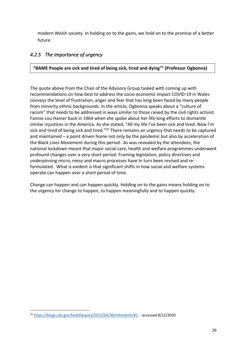modern Welsh society. In holding on to the gains, we hold on to the promise of a better future.

#### *4.2.5 The importance of urgency*

**"BAME People are sick and tired of being sick, tired and dying"1 (Professor Ogbonna)**

The quote above from the Chair of the Advisory Group tasked with coming up with recommendations on how best to address the socio-economic impact COVID-19 in Wales conveys the level of frustration, anger and fear that has long been faced by many people from minority ethnic backgrounds. In the article, Ogbonna speaks about a "culture of racism" that needs to be addressed in ways similar to those raised by the civil rights activist Fannie Lou Hamer back in 1964 when she spoke about her life-long efforts to dismantle similar injustices in the America. As she stated, "All my life I've been sick and tired. Now I'm sick and tired of being sick and tired."<sup>35</sup> There remains an urgency that needs to be captured and maintained – a point driven home not only by the pandemic but also by acceleration of the Black Lives Movement during this period. As was revealed by the attendees, the national lockdown meant that major social care, health and welfare programmes underwent profound changes over a very short period. Framing legislation, policy directives and underpinning micro, meso and macro processes have in turn been revised and reformulated. What is evident is that significant shifts in how social and welfare systems operate can happen over a short period of time.

Change can happen and can happen quickly. Holding on to the gains means holding on to the urgency for change to happen, to happen meaningfully and to happen quickly.

<sup>35</sup> https://blogs.cdc.gov/healthequity/2015/04/30/mhmonth/#1 - accessed 8/12/2020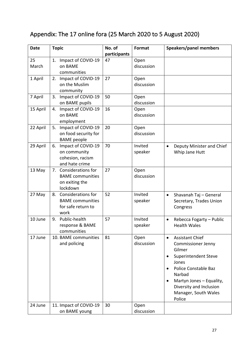### Appendix: The 17 online fora (25 March 2020 to 5 August 2020)

| <b>Date</b> | <b>Topic</b>                                                                             | No. of<br>participants | Format             | Speakers/panel members                                                                                                                                                                                                                 |
|-------------|------------------------------------------------------------------------------------------|------------------------|--------------------|----------------------------------------------------------------------------------------------------------------------------------------------------------------------------------------------------------------------------------------|
| 25<br>March | Impact of COVID-19<br>1.<br>on BAME<br>communities                                       | 47                     | Open<br>discussion |                                                                                                                                                                                                                                        |
| 1 April     | Impact of COVID-19<br>2.<br>on the Muslim<br>community                                   | 27                     | Open<br>discussion |                                                                                                                                                                                                                                        |
| 7 April     | Impact of COVID-19<br>3.<br>on BAME pupils                                               | 50                     | Open<br>discussion |                                                                                                                                                                                                                                        |
| 15 April    | Impact of COVID-19<br>4.<br>on BAME<br>employment                                        | 16                     | Open<br>discussion |                                                                                                                                                                                                                                        |
| 22 April    | 5.<br>Impact of COVID-19<br>on food security for<br><b>BAME</b> people                   | 20                     | Open<br>discussion |                                                                                                                                                                                                                                        |
| 29 April    | Impact of COVID-19<br>6.<br>on community<br>cohesion, racism<br>and hate crime           | 70                     | Invited<br>speaker | Deputy Minister and Chief<br>$\bullet$<br>Whip Jane Hutt                                                                                                                                                                               |
| 13 May      | <b>Considerations for</b><br>7.<br><b>BAME</b> communities<br>on exiting the<br>lockdown | 27                     | Open<br>discussion |                                                                                                                                                                                                                                        |
| 27 May      | Considerations for<br>8.<br><b>BAME</b> communities<br>for safe return to<br>work        | 52                     | Invited<br>speaker | Shavanah Taj - General<br>$\bullet$<br>Secretary, Trades Union<br>Congress                                                                                                                                                             |
| 10 June     | Public-health<br>9.<br>response & BAME<br>communities                                    | 57                     | Invited<br>speaker | Rebecca Fogarty - Public<br>$\bullet$<br><b>Health Wales</b>                                                                                                                                                                           |
| 17 June     | 10. BAME communities<br>and policing                                                     | 81                     | Open<br>discussion | <b>Assistant Chief</b><br>$\bullet$<br><b>Commissioner Jenny</b><br>Gilmer<br>Superintendent Steve<br>Jones<br>Police Constable Baz<br>Narbad<br>Martyn Jones - Equality,<br>Diversity and Inclusion<br>Manager, South Wales<br>Police |
| 24 June     | 11. Impact of COVID-19<br>on BAME young                                                  | 30                     | Open<br>discussion |                                                                                                                                                                                                                                        |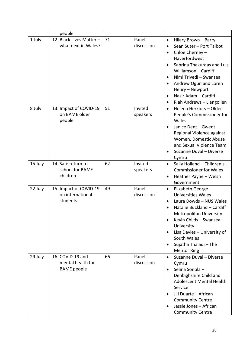|         | people                                                      |    |                     |                                                                                                                                                                                                                                                                                                                   |
|---------|-------------------------------------------------------------|----|---------------------|-------------------------------------------------------------------------------------------------------------------------------------------------------------------------------------------------------------------------------------------------------------------------------------------------------------------|
| 1 July  | 12. Black Lives Matter -<br>what next in Wales?             | 71 | Panel<br>discussion | Hilary Brown - Barry<br>$\bullet$<br>Sean Suter - Port Talbot<br>Chloe Cherney -<br>$\bullet$<br>Haverfordwest<br>Sabrina Thakurdas and Luis<br>Williamson - Cardiff<br>Nimi Trivedi - Swansea<br>Andrew Ogun and Loren<br>٠<br>Henry - Newport<br>Nasir Adam - Cardiff<br>$\bullet$<br>Riah Andrews - Llangollen |
| 8 July  | 13. Impact of COVID-19<br>on BAME older<br>people           | 51 | Invited<br>speakers | Helena Herklots-Older<br>$\bullet$<br>People's Commissioner for<br>Wales<br>Janice Dent - Gwent<br>Regional Violence against<br>Women, Domestic Abuse<br>and Sexual Violence Team<br>Suzanne Duval - Diverse<br>Cymru                                                                                             |
| 15 July | 14. Safe return to<br>school for BAME<br>children           | 62 | Invited<br>speakers | Sally Holland - Children's<br>$\bullet$<br><b>Commissioner for Wales</b><br>Heather Payne - Welsh<br>Government                                                                                                                                                                                                   |
| 22 July | 15. Impact of COVID-19<br>on international<br>students      | 49 | Panel<br>discussion | Elizabeth George -<br>٠<br><b>Universities Wales</b><br>Laura Dowds - NUS Wales<br>$\bullet$<br>Natalie Buckland - Cardiff<br><b>Metropolitan University</b><br>Kevin Childs - Swansea<br>University<br>Lisa Davies - University of<br>South Wales<br>Sujatha Thaladi - The<br><b>Mentor Ring</b>                 |
| 29 July | 16. COVID-19 and<br>mental health for<br><b>BAME</b> people | 66 | Panel<br>discussion | Suzanne Duval - Diverse<br>Cymru<br>Selina Sonola-<br>Denbighshire Child and<br><b>Adolescent Mental Health</b><br>Service<br>Jill Duarte - African<br><b>Community Centre</b><br>Jessie Jones - African<br><b>Community Centre</b>                                                                               |